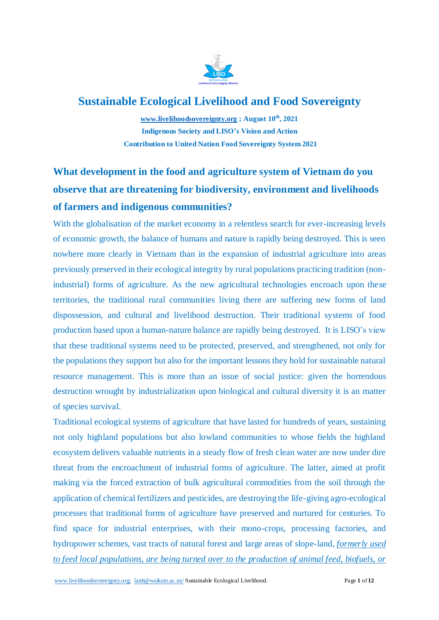

# **Sustainable Ecological Livelihood and Food Sovereignty**

**[www.livelihoodsovereignty.org](http://www.livelihoodsovereignty.org/) ; August 10th, 2021 Indigenous Society and LISO's Vision and Action Contribution to United Nation Food Sovereignty System 2021** 

# **What development in the food and agriculture system of Vietnam do you observe that are threatening for biodiversity, environment and livelihoods of farmers and indigenous communities?**

With the globalisation of the market economy in a relentless search for ever-increasing levels of economic growth, the balance of humans and nature is rapidly being destroyed. This is seen nowhere more clearly in Vietnam than in the expansion of industrial agriculture into areas previously preserved in their ecological integrity by rural populations practicing tradition (nonindustrial) forms of agriculture. As the new agricultural technologies encroach upon these territories, the traditional rural communities living there are suffering new forms of land dispossession, and cultural and livelihood destruction. Their traditional systems of food production based upon a human-nature balance are rapidly being destroyed. It is LISO's view that these traditional systems need to be protected, preserved, and strengthened, not only for the populations they support but also for the important lessons they hold for sustainable natural resource management. This is more than an issue of social justice: given the horrendous destruction wrought by industrialization upon biological and cultural diversity it is an matter of species survival.

Traditional ecological systems of agriculture that have lasted for hundreds of years, sustaining not only highland populations but also lowland communities to whose fields the highland ecosystem delivers valuable nutrients in a steady flow of fresh clean water are now under dire threat from the encroachment of industrial forms of agriculture. The latter, aimed at profit making via the forced extraction of bulk agricultural commodities from the soil through the application of chemical fertilizers and pesticides, are destroying the life-giving agro-ecological processes that traditional forms of agriculture have preserved and nurtured for centuries. To find space for industrial enterprises, with their mono-crops, processing factories, and hydropower schemes, vast tracts of natural forest and large areas of slope-land, *formerly used to feed local populations, are being turned over to the production of animal feed, biofuels, or*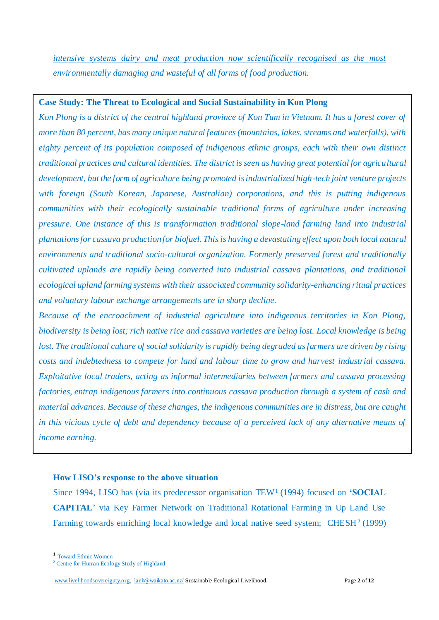*intensive systems dairy and meat production now scientifically recognised as the most environmentally damaging and wasteful of all forms of food production.* 

# **Case Study: The Threat to Ecological and Social Sustainability in Kon Plong**

*Kon Plong is a district of the central highland province of Kon Tum in Vietnam. It has a forest cover of more than 80 percent, has many unique natural features (mountains, lakes, streams and waterfalls), with eighty percent of its population composed of indigenous ethnic groups, each with their own distinct traditional practices and cultural identities. The district is seen as having great potential for agricultural development, but the form of agriculture being promoted is industrialized high-tech joint venture projects with foreign (South Korean, Japanese, Australian) corporations, and this is putting indigenous communities with their ecologically sustainable traditional forms of agriculture under increasing pressure. One instance of this is transformation traditional slope-land farming land into industrial plantations for cassava production for biofuel. This is having a devastating effect upon both local natural environments and traditional socio-cultural organization. Formerly preserved forest and traditionally cultivated uplands are rapidly being converted into industrial cassava plantations, and traditional ecological upland farming systems with their associated community solidarity-enhancing ritual practices and voluntary labour exchange arrangements are in sharp decline.* 

*Because of the encroachment of industrial agriculture into indigenous territories in Kon Plong, biodiversity is being lost; rich native rice and cassava varieties are being lost. Local knowledge is being*  lost. The traditional culture of social solidarity is rapidly being degraded as farmers are driven by rising *costs and indebtedness to compete for land and labour time to grow and harvest industrial cassava. Exploitative local traders, acting as informal intermediaries between farmers and cassava processing factories, entrap indigenous farmers into continuous cassava production through a system of cash and material advances. Because of these changes, the indigenous communities are in distress, but are caught in this vicious cycle of debt and dependency because of a perceived lack of any alternative means of income earning.* 

## **How LISO's response to the above situation**

Since 1994, LISO has (via its predecessor organisation TEW<sup>1</sup> (1994) focused on **'SOCIAL CAPITAL**' via Key Farmer Network on Traditional Rotational Farming in Up Land Use Farming towards enriching local knowledge and local native seed system; CHESH<sup>2</sup> (1999)

-

<sup>1</sup> Toward Ethnic Women

<sup>&</sup>lt;sup>2</sup> Centre for Human Ecology Study of Highland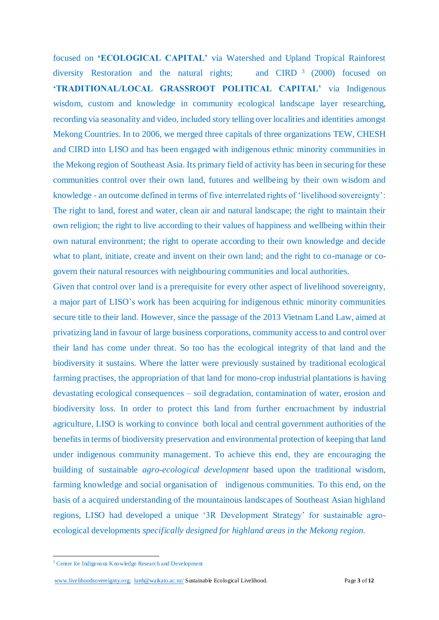focused on **'ECOLOGICAL CAPITAL'** via Watershed and Upland Tropical Rainforest diversity Restoration and the natural rights; and  $C$ IRD  $3$  (2000) focused on **'TRADITIONAL/LOCAL GRASSROOT POLITICAL CAPITAL'** via Indigenous wisdom, custom and knowledge in community ecological landscape layer researching, recording via seasonality and video, included story telling over localities and identities amongst Mekong Countries. In to 2006, we merged three capitals of three organizations TEW, CHESH and CIRD into LISO and has been engaged with indigenous ethnic minority communities in the Mekong region of Southeast Asia. Its primary field of activity has been in securing for these communities control over their own land, futures and wellbeing by their own wisdom and knowledge - an outcome defined in terms of five interrelated rights of 'livelihood sovereignty': The right to land, forest and water, clean air and natural landscape; the right to maintain their own religion; the right to live according to their values of happiness and wellbeing within their own natural environment; the right to operate according to their own knowledge and decide what to plant, initiate, create and invent on their own land; and the right to co-manage or cogovern their natural resources with neighbouring communities and local authorities*.*

Given that control over land is a prerequisite for every other aspect of livelihood sovereignty, a major part of LISO's work has been acquiring for indigenous ethnic minority communities secure title to their land. However, since the passage of the 2013 Vietnam Land Law, aimed at privatizing land in favour of large business corporations, community access to and control over their land has come under threat. So too has the ecological integrity of that land and the biodiversity it sustains. Where the latter were previously sustained by traditional ecological farming practises, the appropriation of that land for mono-crop industrial plantations is having devastating ecological consequences – soil degradation, contamination of water, erosion and biodiversity loss. In order to protect this land from further encroachment by industrial agriculture, LISO is working to convince both local and central government authorities of the benefits in terms of biodiversity preservation and environmental protection of keeping that land under indigenous community management. To achieve this end, they are encouraging the building of sustainable *agro-ecological development* based upon the traditional wisdom, farming knowledge and social organisation of indigenous communities. To this end, on the basis of a acquired understanding of the mountainous landscapes of Southeast Asian highland regions, LISO had developed a unique '3R Development Strategy' for sustainable agroecological developments *specifically designed for highland areas in the Mekong region.*

-

[www.livelihoodsovereignty.org;](http://www.speri.org/) [lanh@waikato.ac.nz/](mailto:lanh@waikato.ac.nz/) Sustainable Ecological Livelihood. Page **3** of **12**

<sup>&</sup>lt;sup>3</sup> Centre for Indigenous Knowledge Research and Development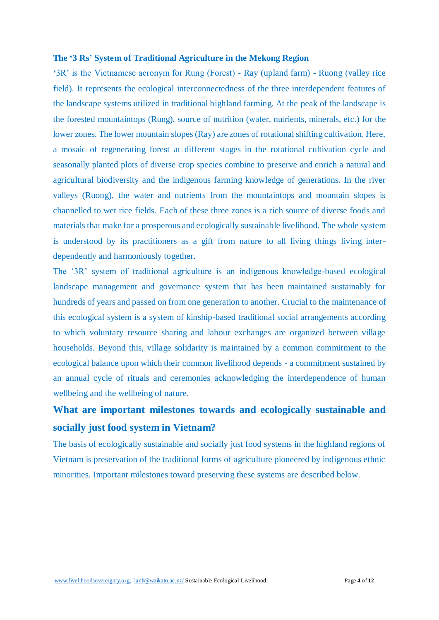### **The '3 Rs' System of Traditional Agriculture in the Mekong Region**

**'**3R' is the Vietnamese acronym for Rung (Forest) - Ray (upland farm) - Ruong (valley rice field). It represents the ecological interconnectedness of the three interdependent features of the landscape systems utilized in traditional highland farming. At the peak of the landscape is the forested mountaintops (Rung), source of nutrition (water, nutrients, minerals, etc.) for the lower zones. The lower mountain slopes (Ray) are zones of rotational shifting cultivation. Here, a mosaic of regenerating forest at different stages in the rotational cultivation cycle and seasonally planted plots of diverse crop species combine to preserve and enrich a natural and agricultural biodiversity and the indigenous farming knowledge of generations. In the river valleys (Ruong), the water and nutrients from the mountaintops and mountain slopes is channelled to wet rice fields. Each of these three zones is a rich source of diverse foods and materials that make for a prosperous and ecologically sustainable livelihood. The whole system is understood by its practitioners as a gift from nature to all living things living interdependently and harmoniously together.

The '3R' system of traditional agriculture is an indigenous knowledge-based ecological landscape management and governance system that has been maintained sustainably for hundreds of years and passed on from one generation to another. Crucial to the maintenance of this ecological system is a system of kinship-based traditional social arrangements according to which voluntary resource sharing and labour exchanges are organized between village households. Beyond this, village solidarity is maintained by a common commitment to the ecological balance upon which their common livelihood depends - a commitment sustained by an annual cycle of rituals and ceremonies acknowledging the interdependence of human wellbeing and the wellbeing of nature.

# **What are important milestones towards and ecologically sustainable and socially just food system in Vietnam?**

The basis of ecologically sustainable and socially just food systems in the highland regions of Vietnam is preservation of the traditional forms of agriculture pioneered by indigenous ethnic minorities. Important milestones toward preserving these systems are described below.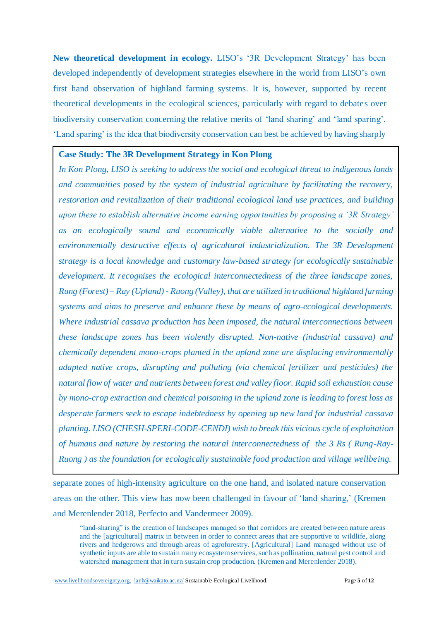**New theoretical development in ecology.** LISO's '3R Development Strategy' has been developed independently of development strategies elsewhere in the world from LISO's own first hand observation of highland farming systems. It is, however, supported by recent theoretical developments in the ecological sciences, particularly with regard to debates over biodiversity conservation concerning the relative merits of 'land sharing' and 'land sparing'. 'Land sparing' is the idea that biodiversity conservation can best be achieved by having sharply

### **Case Study: The 3R Development Strategy in Kon Plong**

*In Kon Plong, LISO is seeking to address the social and ecological threat to indigenous lands and communities posed by the system of industrial agriculture by facilitating the recovery, restoration and revitalization of their traditional ecological land use practices, and building upon these to establish alternative income earning opportunities by proposing a '3R Strategy' as an ecologically sound and economically viable alternative to the socially and environmentally destructive effects of agricultural industrialization. The 3R Development strategy is a local knowledge and customary law-based strategy for ecologically sustainable development. It recognises the ecological interconnectedness of the three landscape zones, Rung (Forest) – Ray (Upland) - Ruong (Valley), that are utilized in traditional highland farming systems and aims to preserve and enhance these by means of agro-ecological developments. Where industrial cassava production has been imposed, the natural interconnections between these landscape zones has been violently disrupted. Non-native (industrial cassava) and chemically dependent mono-crops planted in the upland zone are displacing environmentally adapted native crops, disrupting and polluting (via chemical fertilizer and pesticides) the natural flow of water and nutrients between forest and valley floor. Rapid soil exhaustion cause by mono-crop extraction and chemical poisoning in the upland zone is leading to forest loss as desperate farmers seek to escape indebtedness by opening up new land for industrial cassava planting. LISO (CHESH-SPERI-CODE-CENDI) wish to break this vicious cycle of exploitation of humans and nature by restoring the natural interconnectedness of the 3 Rs ( Rung-Ray-Ruong ) as the foundation for ecologically sustainable food production and village wellbeing.* 

separate zones of high-intensity agriculture on the one hand, and isolated nature conservation areas on the other. This view has now been challenged in favour of 'land sharing,' (Kremen and Merenlender 2018, Perfecto and Vandermeer 2009).

"land-sharing" is the creation of landscapes managed so that corridors are created between nature areas and the [agricultural] matrix in between in order to connect areas that are supportive to wildlife, along rivers and hedgerows and through areas of agroforestry. [Agricultural] Land managed without use of synthetic inputs are able to sustain many ecosystem services, such as pollination, natural pest control and watershed management that in turn sustain crop production. (Kremen and Merenlender 2018).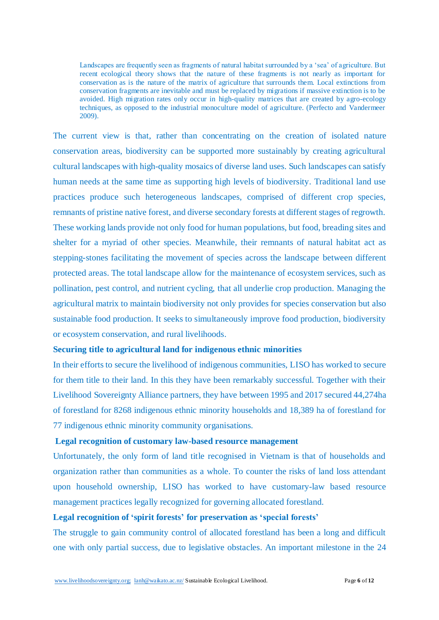Landscapes are frequently seen as fragments of natural habitat surrounded by a 'sea' of agriculture. But recent ecological theory shows that the nature of these fragments is not nearly as important for conservation as is the nature of the matrix of agriculture that surrounds them. Local extinctions from conservation fragments are inevitable and must be replaced by migrations if massive extinction is to be avoided. High migration rates only occur in high-quality matrices that are created by agro-ecology techniques, as opposed to the industrial monoculture model of agriculture. (Perfecto and Vandermeer 2009).

The current view is that, rather than concentrating on the creation of isolated nature conservation areas, biodiversity can be supported more sustainably by creating agricultural cultural landscapes with high-quality mosaics of diverse land uses. Such landscapes can satisfy human needs at the same time as supporting high levels of biodiversity. Traditional land use practices produce such heterogeneous landscapes, comprised of different crop species, remnants of pristine native forest, and diverse secondary forests at different stages of regrowth. These working lands provide not only food for human populations, but food, breading sites and shelter for a myriad of other species. Meanwhile, their remnants of natural habitat act as stepping-stones facilitating the movement of species across the landscape between different protected areas. The total landscape allow for the maintenance of ecosystem services, such as pollination, pest control, and nutrient cycling, that all underlie crop production. Managing the agricultural matrix to maintain biodiversity not only provides for species conservation but also sustainable food production. It seeks to simultaneously improve food production, biodiversity or ecosystem conservation, and rural livelihoods.

### **Securing title to agricultural land for indigenous ethnic minorities**

In their efforts to secure the livelihood of indigenous communities, LISO has worked to secure for them title to their land. In this they have been remarkably successful. Together with their Livelihood Sovereignty Alliance partners, they have between 1995 and 2017 secured 44,274ha of forestland for 8268 indigenous ethnic minority households and 18,389 ha of forestland for 77 indigenous ethnic minority community organisations.

### **Legal recognition of customary law-based resource management**

Unfortunately, the only form of land title recognised in Vietnam is that of households and organization rather than communities as a whole. To counter the risks of land loss attendant upon household ownership, LISO has worked to have customary-law based resource management practices legally recognized for governing allocated forestland.

## **Legal recognition of 'spirit forests' for preservation as 'special forests'**

The struggle to gain community control of allocated forestland has been a long and difficult one with only partial success, due to legislative obstacles. An important milestone in the 24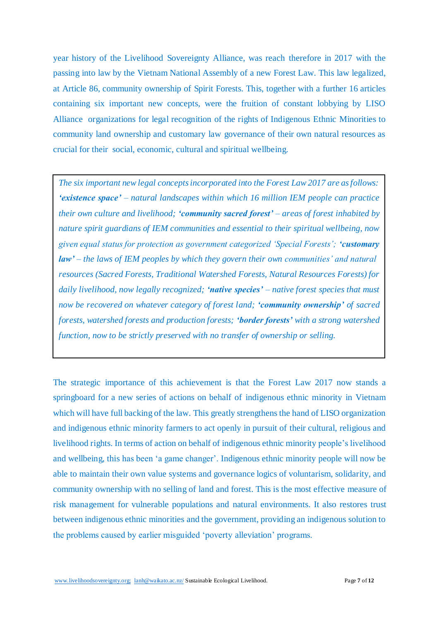year history of the Livelihood Sovereignty Alliance, was reach therefore in 2017 with the passing into law by the Vietnam National Assembly of a new Forest Law. This law legalized, at Article 86, community ownership of Spirit Forests. This, together with a further 16 articles containing six important new concepts, were the fruition of constant lobbying by LISO Alliance organizations for legal recognition of the rights of Indigenous Ethnic Minorities to community land ownership and customary law governance of their own natural resources as crucial for their social, economic, cultural and spiritual wellbeing.

*The six important new legal concepts incorporated into the Forest Law 2017 are as follows: 'existence space' – natural landscapes within which 16 million IEM people can practice their own culture and livelihood; 'community sacred forest' – areas of forest inhabited by nature spirit guardians of IEM communities and essential to their spiritual wellbeing, now given equal status for protection as government categorized 'Special Forests'; 'customary law' – the laws of IEM peoples by which they govern their own communities' and natural resources (Sacred Forests, Traditional Watershed Forests, Natural Resources Forests) for daily livelihood, now legally recognized; 'native species' – native forest species that must now be recovered on whatever category of forest land; 'community ownership' of sacred forests, watershed forests and production forests; 'border forests' with a strong watershed function, now to be strictly preserved with no transfer of ownership or selling.*

The strategic importance of this achievement is that the Forest Law 2017 now stands a springboard for a new series of actions on behalf of indigenous ethnic minority in Vietnam which will have full backing of the law. This greatly strengthens the hand of LISO organization and indigenous ethnic minority farmers to act openly in pursuit of their cultural, religious and livelihood rights. In terms of action on behalf of indigenous ethnic minority people's livelihood and wellbeing, this has been 'a game changer'. Indigenous ethnic minority people will now be able to maintain their own value systems and governance logics of voluntarism, solidarity, and community ownership with no selling of land and forest. This is the most effective measure of risk management for vulnerable populations and natural environments. It also restores trust between indigenous ethnic minorities and the government, providing an indigenous solution to the problems caused by earlier misguided 'poverty alleviation' programs. They govern their own communities' and natural resources (Sacred Forests, Traditional Watershed Forests, Natural Resources Forests) for daily livelihood, now legally recognized; **'native species'** – native forest species that must now be recovered on whatever category of forest land; **'community ownership'** of sacred forests, watershed forests and production forests; **'border forests'** with a strong watershed function, now to be strictly preserved with no transfer of ownership or selling.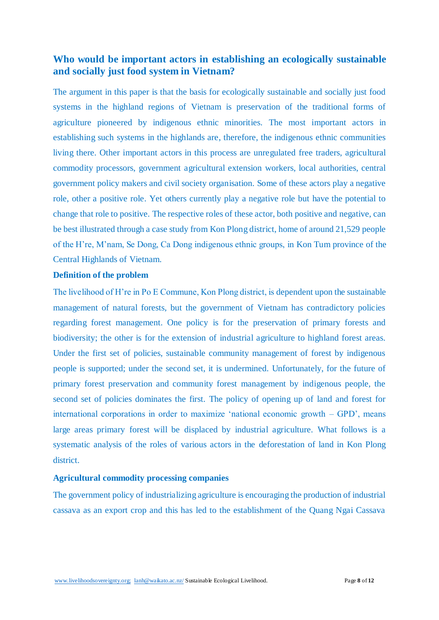# **Who would be important actors in establishing an ecologically sustainable and socially just food system in Vietnam?**

The argument in this paper is that the basis for ecologically sustainable and socially just food systems in the highland regions of Vietnam is preservation of the traditional forms of agriculture pioneered by indigenous ethnic minorities. The most important actors in establishing such systems in the highlands are, therefore, the indigenous ethnic communities living there. Other important actors in this process are unregulated free traders, agricultural commodity processors, government agricultural extension workers, local authorities, central government policy makers and civil society organisation. Some of these actors play a negative role, other a positive role. Yet others currently play a negative role but have the potential to change that role to positive. The respective roles of these actor, both positive and negative, can be best illustrated through a case study from Kon Plong district, home of around 21,529 people of the H're, M'nam, Se Dong, Ca Dong indigenous ethnic groups, in Kon Tum province of the Central Highlands of Vietnam.

### **Definition of the problem**

The livelihood of H're in Po E Commune, Kon Plong district, is dependent upon the sustainable management of natural forests, but the government of Vietnam has contradictory policies regarding forest management. One policy is for the preservation of primary forests and biodiversity; the other is for the extension of industrial agriculture to highland forest areas. Under the first set of policies, sustainable community management of forest by indigenous people is supported; under the second set, it is undermined. Unfortunately, for the future of primary forest preservation and community forest management by indigenous people, the second set of policies dominates the first. The policy of opening up of land and forest for international corporations in order to maximize 'national economic growth – GPD', means large areas primary forest will be displaced by industrial agriculture. What follows is a systematic analysis of the roles of various actors in the deforestation of land in Kon Plong district.

## **Agricultural commodity processing companies**

The government policy of industrializing agriculture is encouraging the production of industrial cassava as an export crop and this has led to the establishment of the Quang Ngai Cassava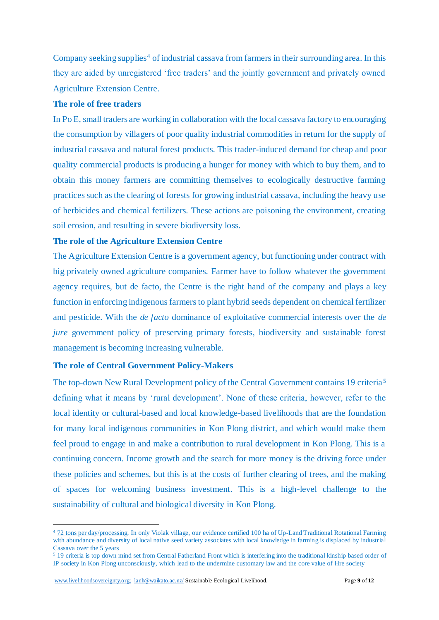Company seeking supplies<sup>4</sup> of industrial cassava from farmers in their surrounding area. In this they are aided by unregistered 'free traders' and the jointly government and privately owned Agriculture Extension Centre.

### **The role of free traders**

In Po E, small traders are working in collaboration with the local cassava factory to encouraging the consumption by villagers of poor quality industrial commodities in return for the supply of industrial cassava and natural forest products. This trader-induced demand for cheap and poor quality commercial products is producing a hunger for money with which to buy them, and to obtain this money farmers are committing themselves to ecologically destructive farming practices such as the clearing of forests for growing industrial cassava, including the heavy use of herbicides and chemical fertilizers. These actions are poisoning the environment, creating soil erosion, and resulting in severe biodiversity loss.

### **The role of the Agriculture Extension Centre**

The Agriculture Extension Centre is a government agency, but functioning under contract with big privately owned agriculture companies. Farmer have to follow whatever the government agency requires, but de facto, the Centre is the right hand of the company and plays a key function in enforcing indigenous farmers to plant hybrid seeds dependent on chemical fertilizer and pesticide. With the *de facto* dominance of exploitative commercial interests over the *de jure* government policy of preserving primary forests, biodiversity and sustainable forest management is becoming increasing vulnerable.

#### **The role of Central Government Policy-Makers**

The top-down New Rural Development policy of the Central Government contains 19 criteria <sup>5</sup> defining what it means by 'rural development'. None of these criteria, however, refer to the local identity or cultural-based and local knowledge-based livelihoods that are the foundation for many local indigenous communities in Kon Plong district, and which would make them feel proud to engage in and make a contribution to rural development in Kon Plong. This is a continuing concern. Income growth and the search for more money is the driving force under these policies and schemes, but this is at the costs of further clearing of trees, and the making of spaces for welcoming business investment. This is a high-level challenge to the sustainability of cultural and biological diversity in Kon Plong.

1

<sup>4</sup> 72 tons per day/processing. In only Violak village, our evidence certified 100 ha of Up-Land Traditional Rotational Farming with abundance and diversity of local native seed variety associates with local knowledge in farming is displaced by industrial Cassava over the 5 years

<sup>5</sup> 19 criteria is top down mind set from Central Fatherland Front which is interfering into the traditional kinship based order of IP society in Kon Plong unconsciously, which lead to the undermine customary law and the core value of Hre society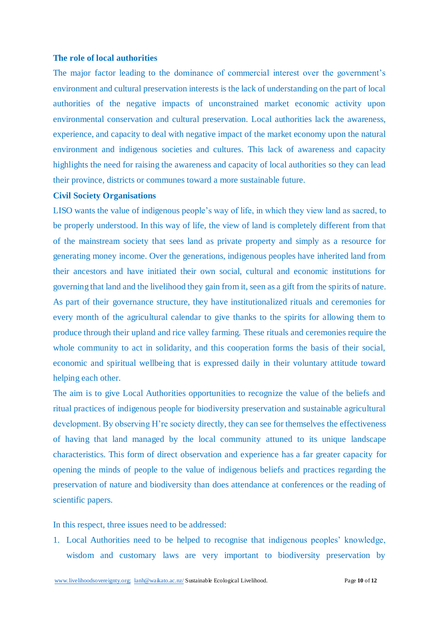#### **The role of local authorities**

The major factor leading to the dominance of commercial interest over the government's environment and cultural preservation interests is the lack of understanding on the part of local authorities of the negative impacts of unconstrained market economic activity upon environmental conservation and cultural preservation. Local authorities lack the awareness, experience, and capacity to deal with negative impact of the market economy upon the natural environment and indigenous societies and cultures. This lack of awareness and capacity highlights the need for raising the awareness and capacity of local authorities so they can lead their province, districts or communes toward a more sustainable future.

### **Civil Society Organisations**

LISO wants the value of indigenous people's way of life, in which they view land as sacred, to be properly understood. In this way of life, the view of land is completely different from that of the mainstream society that sees land as private property and simply as a resource for generating money income. Over the generations, indigenous peoples have inherited land from their ancestors and have initiated their own social, cultural and economic institutions for governing that land and the livelihood they gain from it, seen as a gift from the spirits of nature. As part of their governance structure, they have institutionalized rituals and ceremonies for every month of the agricultural calendar to give thanks to the spirits for allowing them to produce through their upland and rice valley farming. These rituals and ceremonies require the whole community to act in solidarity, and this cooperation forms the basis of their social, economic and spiritual wellbeing that is expressed daily in their voluntary attitude toward helping each other.

The aim is to give Local Authorities opportunities to recognize the value of the beliefs and ritual practices of indigenous people for biodiversity preservation and sustainable agricultural development. By observing H're society directly, they can see for themselves the effectiveness of having that land managed by the local community attuned to its unique landscape characteristics. This form of direct observation and experience has a far greater capacity for opening the minds of people to the value of indigenous beliefs and practices regarding the preservation of nature and biodiversity than does attendance at conferences or the reading of scientific papers.

In this respect, three issues need to be addressed:

1. Local Authorities need to be helped to recognise that indigenous peoples' knowledge, wisdom and customary laws are very important to biodiversity preservation by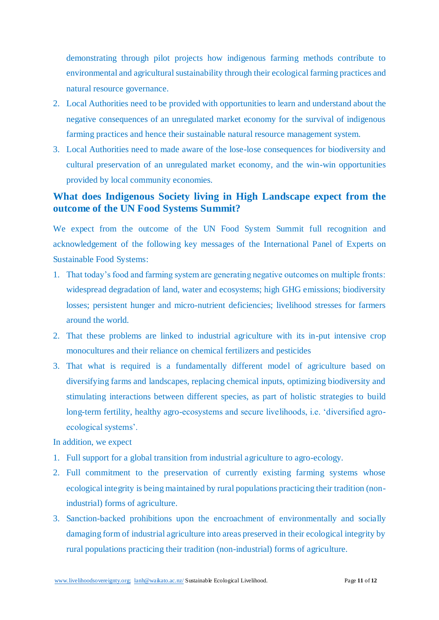demonstrating through pilot projects how indigenous farming methods contribute to environmental and agricultural sustainability through their ecological farming practices and natural resource governance.

- 2. Local Authorities need to be provided with opportunities to learn and understand about the negative consequences of an unregulated market economy for the survival of indigenous farming practices and hence their sustainable natural resource management system.
- 3. Local Authorities need to made aware of the lose-lose consequences for biodiversity and cultural preservation of an unregulated market economy, and the win-win opportunities provided by local community economies.

# **What does Indigenous Society living in High Landscape expect from the outcome of the UN Food Systems Summit?**

We expect from the outcome of the UN Food System Summit full recognition and acknowledgement of the following key messages of the International Panel of Experts on Sustainable Food Systems:

- 1. That today's food and farming system are generating negative outcomes on multiple fronts: widespread degradation of land, water and ecosystems; high GHG emissions; biodiversity losses; persistent hunger and micro-nutrient deficiencies; livelihood stresses for farmers around the world.
- 2. That these problems are linked to industrial agriculture with its in-put intensive crop monocultures and their reliance on chemical fertilizers and pesticides
- 3. That what is required is a fundamentally different model of agriculture based on diversifying farms and landscapes, replacing chemical inputs, optimizing biodiversity and stimulating interactions between different species, as part of holistic strategies to build long-term fertility, healthy agro-ecosystems and secure livelihoods, i.e. 'diversified agroecological systems'.

In addition, we expect

- 1. Full support for a global transition from industrial agriculture to agro-ecology.
- 2. Full commitment to the preservation of currently existing farming systems whose ecological integrity is being maintained by rural populations practicing their tradition (nonindustrial) forms of agriculture.
- 3. Sanction-backed prohibitions upon the encroachment of environmentally and socially damaging form of industrial agriculture into areas preserved in their ecological integrity by rural populations practicing their tradition (non-industrial) forms of agriculture.